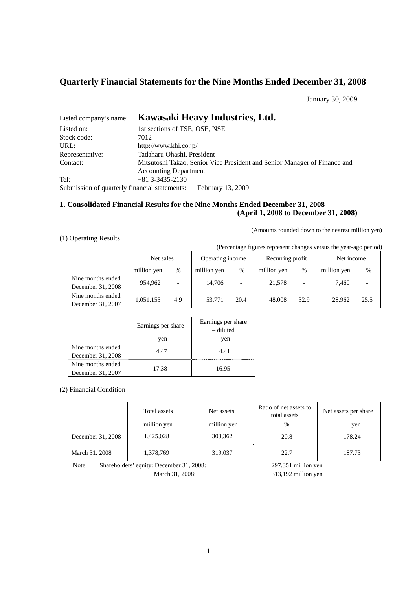# **Quarterly Financial Statements for the Nine Months Ended December 31, 2008**

January 30, 2009

| Listed company's name:                        | Kawasaki Heavy Industries, Ltd.                                           |
|-----------------------------------------------|---------------------------------------------------------------------------|
| Listed on:                                    | 1st sections of TSE, OSE, NSE                                             |
| Stock code:                                   | 7012                                                                      |
| URL:                                          | http://www.khi.co.jp/                                                     |
| Representative:                               | Tadaharu Ohashi, President                                                |
| Contact:                                      | Mitsutoshi Takao, Senior Vice President and Senior Manager of Finance and |
|                                               | <b>Accounting Department</b>                                              |
| Tel:                                          | $+81$ 3-3435-2130                                                         |
| Submission of quarterly financial statements: | February 13, 2009                                                         |

# **1. Consolidated Financial Results for the Nine Months Ended December 31, 2008 (April 1, 2008 to December 31, 2008)**

(Amounts rounded down to the nearest million yen)

# (1) Operating Results

(Percentage figures represent changes versus the year-ago period)

|                                        | Net sales   |                          | Operating income |                          | Recurring profit |      | Net income  |      |
|----------------------------------------|-------------|--------------------------|------------------|--------------------------|------------------|------|-------------|------|
|                                        | million yen | $\%$                     | million yen      | $\%$                     | million yen      | %    | million yen | $\%$ |
| Nine months ended<br>December 31, 2008 | 954.962     | $\overline{\phantom{0}}$ | 14.706           | $\overline{\phantom{0}}$ | 21,578           | -    | 7.460       |      |
| Nine months ended<br>December 31, 2007 | 1,051,155   | 4.9                      | 53.771           | 20.4                     | 48,008           | 32.9 | 28.962      | 25.5 |

|                                        | Earnings per share | Earnings per share<br>– diluted |
|----------------------------------------|--------------------|---------------------------------|
|                                        | yen                | yen                             |
| Nine months ended<br>December 31, 2008 | 4.47               | 4.41                            |
| Nine months ended<br>December 31, 2007 | 17.38              | 16.95                           |

(2) Financial Condition

|                   | Total assets | Net assets  | Ratio of net assets to<br>total assets | Net assets per share |
|-------------------|--------------|-------------|----------------------------------------|----------------------|
|                   | million yen  | million yen | $\%$                                   | yen                  |
| December 31, 2008 | 1,425,028    | 303,362     | 20.8                                   | 178.24               |
| March 31, 2008    | 1,378,769    | 319,037     | 22.7                                   | 187.73               |

Note: Shareholders' equity: December 31, 2008: 297,351 million yen

March 31, 2008: 313,192 million yen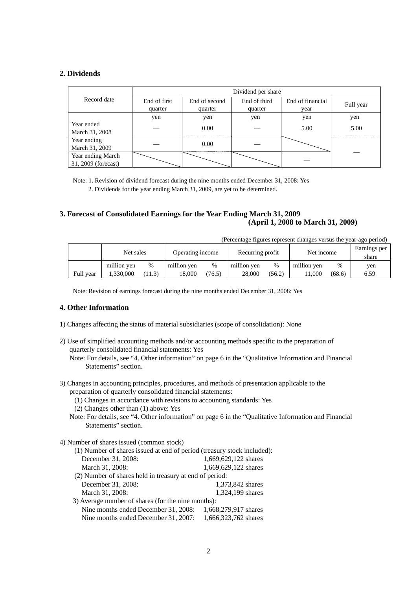## **2. Dividends**

|                                          | Dividend per share |               |              |                  |           |
|------------------------------------------|--------------------|---------------|--------------|------------------|-----------|
| Record date                              | End of first       | End of second | End of third | End of financial | Full year |
|                                          | quarter            | quarter       | quarter      | year             |           |
|                                          | yen                | yen           | yen          | yen              | yen       |
| Year ended<br>March 31, 2008             |                    | 0.00          |              | 5.00             | 5.00      |
| Year ending<br>March 31, 2009            |                    | 0.00          |              |                  |           |
| Year ending March<br>31, 2009 (forecast) |                    |               |              |                  |           |

Note: 1. Revision of dividend forecast during the nine months ended December 31, 2008: Yes

2. Dividends for the year ending March 31, 2009, are yet to be determined.

# **3. Forecast of Consolidated Earnings for the Year Ending March 31, 2009 (April 1, 2008 to March 31, 2009)**

(Percentage figures represent changes versus the year-ago period)

|           | Net sales   |        | Operating income |        | Recurring profit |        | Net income  |        | Earnings per<br>share |
|-----------|-------------|--------|------------------|--------|------------------|--------|-------------|--------|-----------------------|
| Full year | million yen | %      | million yen      | %      | million ven      | %      | million ven | %      | yen                   |
|           | 1.330.000   | (11.3) | 18.000           | (76.5) | 28,000           | (56.2) | 1.000       | (68.6) | 6.59                  |

Note: Revision of earnings forecast during the nine months ended December 31, 2008: Yes

### **4. Other Information**

- 1) Changes affecting the status of material subsidiaries (scope of consolidation): None
- 2) Use of simplified accounting methods and/or accounting methods specific to the preparation of quarterly consolidated financial statements: Yes

Note: For details, see "4. Other information" on page 6 in the "Qualitative Information and Financial Statements" section.

- 3) Changes in accounting principles, procedures, and methods of presentation applicable to the preparation of quarterly consolidated financial statements:
	- (1) Changes in accordance with revisions to accounting standards: Yes
	- (2) Changes other than (1) above: Yes
	- Note: For details, see "4. Other information" on page 6 in the "Qualitative Information and Financial Statements" section.
- 4) Number of shares issued (common stock)

| (1) Number of shares issued at end of period (treasury stock included): |                      |  |  |  |
|-------------------------------------------------------------------------|----------------------|--|--|--|
| December 31, 2008:                                                      | 1,669,629,122 shares |  |  |  |
| March 31, 2008:                                                         | 1,669,629,122 shares |  |  |  |
| (2) Number of shares held in treasury at end of period:                 |                      |  |  |  |
| December 31, 2008:                                                      | 1,373,842 shares     |  |  |  |
| March 31, 2008:                                                         | 1,324,199 shares     |  |  |  |
| 3) Average number of shares (for the nine months):                      |                      |  |  |  |
| Nine months ended December 31, 2008:                                    | 1,668,279,917 shares |  |  |  |
| Nine months ended December 31, 2007:                                    | 1,666,323,762 shares |  |  |  |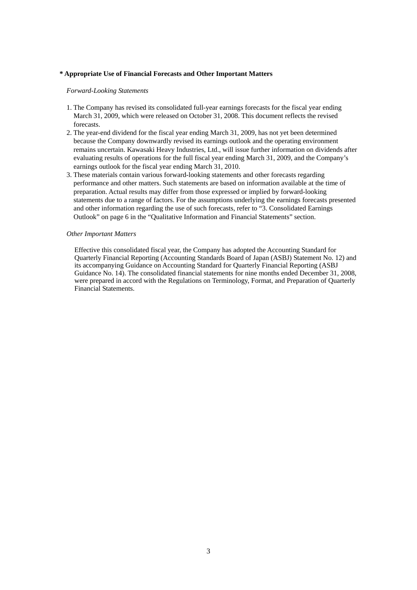#### **\* Appropriate Use of Financial Forecasts and Other Important Matters**

*Forward-Looking Statements* 

- 1. The Company has revised its consolidated full-year earnings forecasts for the fiscal year ending March 31, 2009, which were released on October 31, 2008. This document reflects the revised forecasts.
- 2. The year-end dividend for the fiscal year ending March 31, 2009, has not yet been determined because the Company downwardly revised its earnings outlook and the operating environment remains uncertain. Kawasaki Heavy Industries, Ltd., will issue further information on dividends after evaluating results of operations for the full fiscal year ending March 31, 2009, and the Company's earnings outlook for the fiscal year ending March 31, 2010.
- 3. These materials contain various forward-looking statements and other forecasts regarding performance and other matters. Such statements are based on information available at the time of preparation. Actual results may differ from those expressed or implied by forward-looking statements due to a range of factors. For the assumptions underlying the earnings forecasts presented and other information regarding the use of such forecasts, refer to "3. Consolidated Earnings Outlook" on page 6 in the "Qualitative Information and Financial Statements" section.

#### *Other Important Matters*

Effective this consolidated fiscal year, the Company has adopted the Accounting Standard for Quarterly Financial Reporting (Accounting Standards Board of Japan (ASBJ) Statement No. 12) and its accompanying Guidance on Accounting Standard for Quarterly Financial Reporting (ASBJ Guidance No. 14). The consolidated financial statements for nine months ended December 31, 2008, were prepared in accord with the Regulations on Terminology, Format, and Preparation of Quarterly Financial Statements.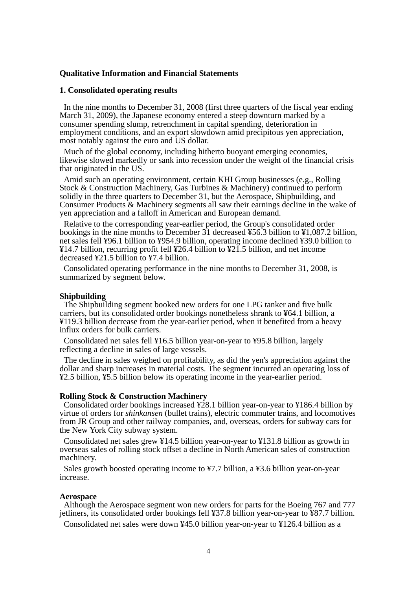## **Qualitative Information and Financial Statements**

## **1. Consolidated operating results**

In the nine months to December 31, 2008 (first three quarters of the fiscal year ending March 31, 2009), the Japanese economy entered a steep downturn marked by a consumer spending slump, retrenchment in capital spending, deterioration in employment conditions, and an export slowdown amid precipitous yen appreciation, most notably against the euro and US dollar.

Much of the global economy, including hitherto buoyant emerging economies, likewise slowed markedly or sank into recession under the weight of the financial crisis that originated in the US.

Amid such an operating environment, certain KHI Group businesses (e.g., Rolling Stock & Construction Machinery, Gas Turbines & Machinery) continued to perform solidly in the three quarters to December 31, but the Aerospace, Shipbuilding, and Consumer Products & Machinery segments all saw their earnings decline in the wake of yen appreciation and a falloff in American and European demand.

Relative to the corresponding year-earlier period, the Group's consolidated order bookings in the nine months to December 31 decreased ¥56.3 billion to ¥1,087.2 billion, net sales fell ¥96.1 billion to ¥954.9 billion, operating income declined ¥39.0 billion to ¥14.7 billion, recurring profit fell ¥26.4 billion to ¥21.5 billion, and net income decreased ¥21.5 billion to ¥7.4 billion.

Consolidated operating performance in the nine months to December 31, 2008, is summarized by segment below.

## **Shipbuilding**

The Shipbuilding segment booked new orders for one LPG tanker and five bulk carriers, but its consolidated order bookings nonetheless shrank to ¥64.1 billion, a ¥119.3 billion decrease from the year-earlier period, when it benefited from a heavy influx orders for bulk carriers.

Consolidated net sales fell ¥16.5 billion year-on-year to ¥95.8 billion, largely reflecting a decline in sales of large vessels.

The decline in sales weighed on profitability, as did the yen's appreciation against the dollar and sharp increases in material costs. The segment incurred an operating loss of ¥2.5 billion, ¥5.5 billion below its operating income in the year-earlier period.

#### **Rolling Stock & Construction Machinery**

Consolidated order bookings increased ¥28.1 billion year-on-year to ¥186.4 billion by virtue of orders for *shinkansen* (bullet trains), electric commuter trains, and locomotives from JR Group and other railway companies, and, overseas, orders for subway cars for the New York City subway system.

Consolidated net sales grew ¥14.5 billion year-on-year to ¥131.8 billion as growth in overseas sales of rolling stock offset a decline in North American sales of construction machinery.

Sales growth boosted operating income to ¥7.7 billion, a ¥3.6 billion year-on-year increase.

## **Aerospace**

Although the Aerospace segment won new orders for parts for the Boeing 767 and 777 jetliners, its consolidated order bookings fell ¥37.8 billion year-on-year to ¥87.7 billion.

Consolidated net sales were down ¥45.0 billion year-on-year to ¥126.4 billion as a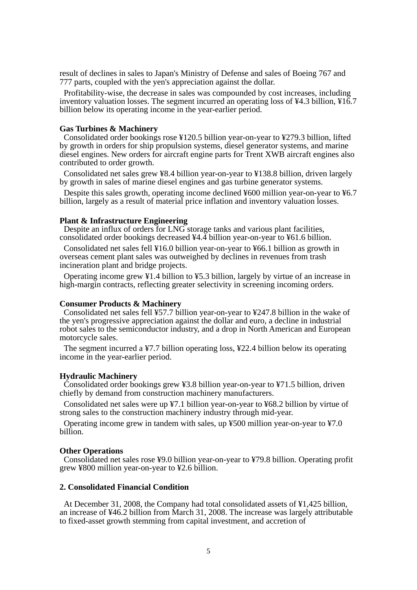result of declines in sales to Japan's Ministry of Defense and sales of Boeing 767 and 777 parts, coupled with the yen's appreciation against the dollar.

Profitability-wise, the decrease in sales was compounded by cost increases, including inventory valuation losses. The segment incurred an operating loss of ¥4.3 billion, ¥16.7 billion below its operating income in the year-earlier period.

#### **Gas Turbines & Machinery**

Consolidated order bookings rose ¥120.5 billion year-on-year to ¥279.3 billion, lifted by growth in orders for ship propulsion systems, diesel generator systems, and marine diesel engines. New orders for aircraft engine parts for Trent XWB aircraft engines also contributed to order growth.

Consolidated net sales grew ¥8.4 billion year-on-year to ¥138.8 billion, driven largely by growth in sales of marine diesel engines and gas turbine generator systems.

Despite this sales growth, operating income declined ¥600 million year-on-year to ¥6.7 billion, largely as a result of material price inflation and inventory valuation losses.

#### **Plant & Infrastructure Engineering**

Despite an influx of orders for LNG storage tanks and various plant facilities, consolidated order bookings decreased ¥4.4 billion year-on-year to ¥61.6 billion.

Consolidated net sales fell ¥16.0 billion year-on-year to ¥66.1 billion as growth in overseas cement plant sales was outweighed by declines in revenues from trash incineration plant and bridge projects.

Operating income grew ¥1.4 billion to ¥5.3 billion, largely by virtue of an increase in high-margin contracts, reflecting greater selectivity in screening incoming orders.

#### **Consumer Products & Machinery**

Consolidated net sales fell ¥57.7 billion year-on-year to ¥247.8 billion in the wake of the yen's progressive appreciation against the dollar and euro, a decline in industrial robot sales to the semiconductor industry, and a drop in North American and European motorcycle sales.

The segment incurred a ¥7.7 billion operating loss, ¥22.4 billion below its operating income in the year-earlier period.

#### **Hydraulic Machinery**

Consolidated order bookings grew ¥3.8 billion year-on-year to ¥71.5 billion, driven chiefly by demand from construction machinery manufacturers.

Consolidated net sales were up ¥7.1 billion year-on-year to ¥68.2 billion by virtue of strong sales to the construction machinery industry through mid-year.

Operating income grew in tandem with sales, up ¥500 million year-on-year to ¥7.0 billion.

## **Other Operations**

Consolidated net sales rose ¥9.0 billion year-on-year to ¥79.8 billion. Operating profit grew ¥800 million year-on-year to ¥2.6 billion.

#### **2. Consolidated Financial Condition**

At December 31, 2008, the Company had total consolidated assets of ¥1,425 billion, an increase of ¥46.2 billion from March 31, 2008. The increase was largely attributable to fixed-asset growth stemming from capital investment, and accretion of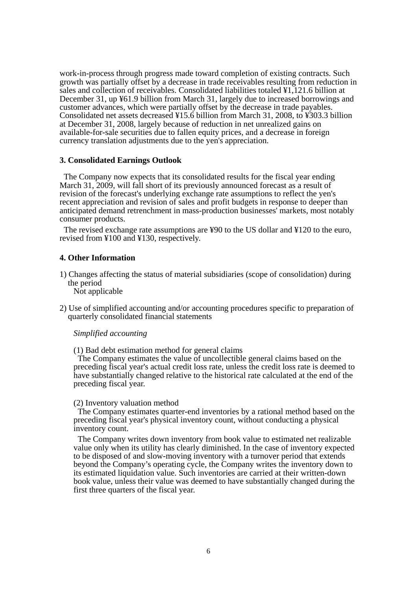work-in-process through progress made toward completion of existing contracts. Such growth was partially offset by a decrease in trade receivables resulting from reduction in sales and collection of receivables. Consolidated liabilities totaled ¥1,121.6 billion at December 31, up ¥61.9 billion from March 31, largely due to increased borrowings and customer advances, which were partially offset by the decrease in trade payables. Consolidated net assets decreased ¥15.6 billion from March 31, 2008, to ¥303.3 billion at December 31, 2008, largely because of reduction in net unrealized gains on available-for-sale securities due to fallen equity prices, and a decrease in foreign currency translation adjustments due to the yen's appreciation.

## **3. Consolidated Earnings Outlook**

The Company now expects that its consolidated results for the fiscal year ending March 31, 2009, will fall short of its previously announced forecast as a result of revision of the forecast's underlying exchange rate assumptions to reflect the yen's recent appreciation and revision of sales and profit budgets in response to deeper than anticipated demand retrenchment in mass-production businesses' markets, most notably consumer products.

The revised exchange rate assumptions are ¥90 to the US dollar and ¥120 to the euro, revised from ¥100 and ¥130, respectively.

## **4. Other Information**

1) Changes affecting the status of material subsidiaries (scope of consolidation) during the period

Not applicable

2) Use of simplified accounting and/or accounting procedures specific to preparation of quarterly consolidated financial statements

### *Simplified accounting*

(1) Bad debt estimation method for general claims

The Company estimates the value of uncollectible general claims based on the preceding fiscal year's actual credit loss rate, unless the credit loss rate is deemed to have substantially changed relative to the historical rate calculated at the end of the preceding fiscal year.

## (2) Inventory valuation method

The Company estimates quarter-end inventories by a rational method based on the preceding fiscal year's physical inventory count, without conducting a physical inventory count.

The Company writes down inventory from book value to estimated net realizable value only when its utility has clearly diminished. In the case of inventory expected to be disposed of and slow-moving inventory with a turnover period that extends beyond the Company's operating cycle, the Company writes the inventory down to its estimated liquidation value. Such inventories are carried at their written-down book value, unless their value was deemed to have substantially changed during the first three quarters of the fiscal year.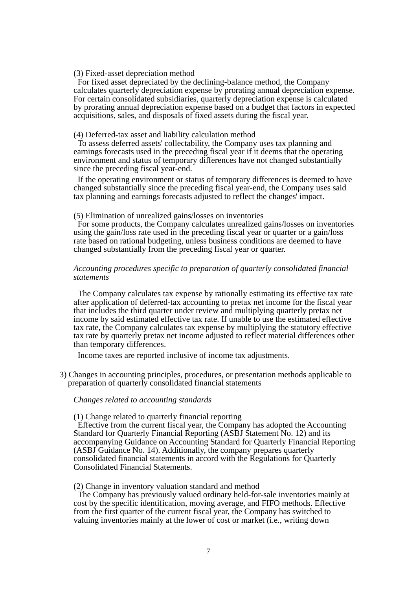#### (3) Fixed-asset depreciation method

For fixed asset depreciated by the declining-balance method, the Company calculates quarterly depreciation expense by prorating annual depreciation expense. For certain consolidated subsidiaries, quarterly depreciation expense is calculated by prorating annual depreciation expense based on a budget that factors in expected acquisitions, sales, and disposals of fixed assets during the fiscal year.

#### (4) Deferred-tax asset and liability calculation method

To assess deferred assets' collectability, the Company uses tax planning and earnings forecasts used in the preceding fiscal year if it deems that the operating environment and status of temporary differences have not changed substantially since the preceding fiscal year-end.

If the operating environment or status of temporary differences is deemed to have changed substantially since the preceding fiscal year-end, the Company uses said tax planning and earnings forecasts adjusted to reflect the changes' impact.

#### (5) Elimination of unrealized gains/losses on inventories

For some products, the Company calculates unrealized gains/losses on inventories using the gain/loss rate used in the preceding fiscal year or quarter or a gain/loss rate based on rational budgeting, unless business conditions are deemed to have changed substantially from the preceding fiscal year or quarter.

#### *Accounting procedures specific to preparation of quarterly consolidated financial statements*

The Company calculates tax expense by rationally estimating its effective tax rate after application of deferred-tax accounting to pretax net income for the fiscal year that includes the third quarter under review and multiplying quarterly pretax net income by said estimated effective tax rate. If unable to use the estimated effective tax rate, the Company calculates tax expense by multiplying the statutory effective tax rate by quarterly pretax net income adjusted to reflect material differences other than temporary differences.

Income taxes are reported inclusive of income tax adjustments.

3) Changes in accounting principles, procedures, or presentation methods applicable to preparation of quarterly consolidated financial statements

#### *Changes related to accounting standards*

#### (1) Change related to quarterly financial reporting

Effective from the current fiscal year, the Company has adopted the Accounting Standard for Quarterly Financial Reporting (ASBJ Statement No. 12) and its accompanying Guidance on Accounting Standard for Quarterly Financial Reporting (ASBJ Guidance No. 14). Additionally, the company prepares quarterly consolidated financial statements in accord with the Regulations for Quarterly Consolidated Financial Statements.

### (2) Change in inventory valuation standard and method

The Company has previously valued ordinary held-for-sale inventories mainly at cost by the specific identification, moving average, and FIFO methods. Effective from the first quarter of the current fiscal year, the Company has switched to valuing inventories mainly at the lower of cost or market (i.e., writing down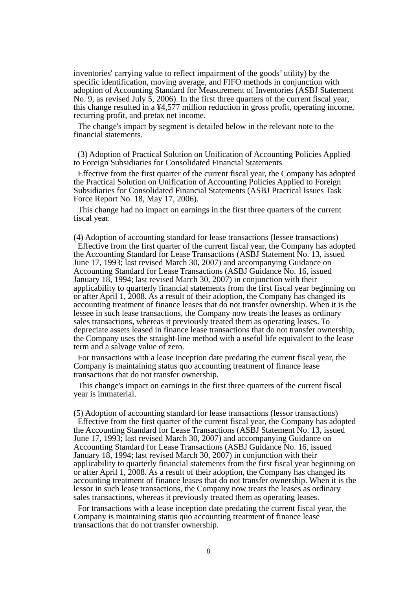inventories' carrying value to reflect impairment of the goods' utility) by the specific identification, moving average, and FIFO methods in conjunction with adoption of Accounting Standard for Measurement of Inventories (ASBJ Statement No. 9, as revised July  $\bar{5}$ , 2006). In the first three quarters of the current fiscal year, this change resulted in a ¥4,577 million reduction in gross profit, operating income, recurring profit, and pretax net income.

The change's impact by segment is detailed below in the relevant note to the financial statements.

(3) Adoption of Practical Solution on Unification of Accounting Policies Applied to Foreign Subsidiaries for Consolidated Financial Statements

Effective from the first quarter of the current fiscal year, the Company has adopted the Practical Solution on Unification of Accounting Policies Applied to Foreign Subsidiaries for Consolidated Financial Statements (ASBJ Practical Issues Task Force Report No. 18, May 17, 2006).

This change had no impact on earnings in the first three quarters of the current fiscal year.

(4) Adoption of accounting standard for lease transactions (lessee transactions) Effective from the first quarter of the current fiscal year, the Company has adopted the Accounting Standard for Lease Transactions (ASBJ Statement No. 13, issued June 17, 1993; last revised March 30, 2007) and accompanying Guidance on Accounting Standard for Lease Transactions (ASBJ Guidance No. 16, issued January 18, 1994; last revised March 30, 2007) in conjunction with their applicability to quarterly financial statements from the first fiscal year beginning on or after April 1, 2008. As a result of their adoption, the Company has changed its accounting treatment of finance leases that do not transfer ownership. When it is the lessee in such lease transactions, the Company now treats the leases as ordinary sales transactions, whereas it previously treated them as operating leases. To depreciate assets leased in finance lease transactions that do not transfer ownership, the Company uses the straight-line method with a useful life equivalent to the lease term and a salvage value of zero.

For transactions with a lease inception date predating the current fiscal year, the Company is maintaining status quo accounting treatment of finance lease transactions that do not transfer ownership.

This change's impact on earnings in the first three quarters of the current fiscal year is immaterial.

(5) Adoption of accounting standard for lease transactions (lessor transactions) Effective from the first quarter of the current fiscal year, the Company has adopted the Accounting Standard for Lease Transactions (ASBJ Statement No. 13, issued June 17, 1993; last revised March 30, 2007) and accompanying Guidance on Accounting Standard for Lease Transactions (ASBJ Guidance No. 16, issued January 18, 1994; last revised March 30, 2007) in conjunction with their applicability to quarterly financial statements from the first fiscal year beginning on or after April 1, 2008. As a result of their adoption, the Company has changed its accounting treatment of finance leases that do not transfer ownership. When it is the lessor in such lease transactions, the Company now treats the leases as ordinary sales transactions, whereas it previously treated them as operating leases.

For transactions with a lease inception date predating the current fiscal year, the Company is maintaining status quo accounting treatment of finance lease transactions that do not transfer ownership.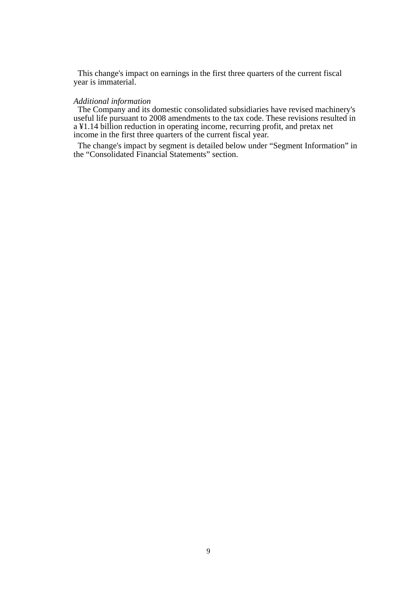This change's impact on earnings in the first three quarters of the current fiscal year is immaterial.

## *Additional information*

The Company and its domestic consolidated subsidiaries have revised machinery's useful life pursuant to 2008 amendments to the tax code. These revisions resulted in a ¥1.14 billion reduction in operating income, recurring profit, and pretax net income in the first three quarters of the current fiscal year.

The change's impact by segment is detailed below under "Segment Information" in the "Consolidated Financial Statements" section.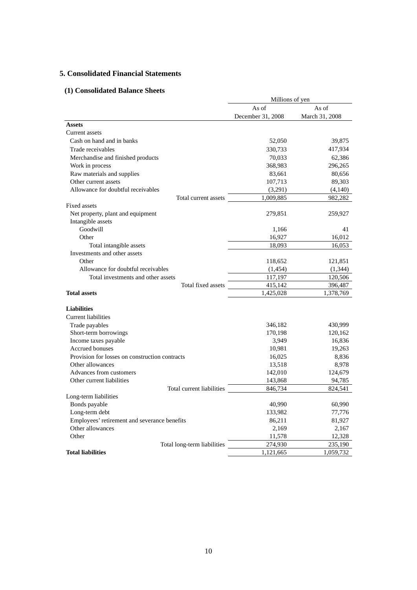# **5. Consolidated Financial Statements**

# **(1) Consolidated Balance Sheets**

|                                                | Millions of yen   |                |
|------------------------------------------------|-------------------|----------------|
|                                                | As of             | As of          |
|                                                | December 31, 2008 | March 31, 2008 |
| <b>Assets</b>                                  |                   |                |
| Current assets                                 |                   |                |
| Cash on hand and in banks                      | 52,050            | 39,875         |
| Trade receivables                              | 330,733           | 417,934        |
| Merchandise and finished products              | 70,033            | 62,386         |
| Work in process                                | 368,983           | 296,265        |
| Raw materials and supplies                     | 83,661            | 80,656         |
| Other current assets                           | 107,713           | 89,303         |
| Allowance for doubtful receivables             | (3,291)           | (4,140)        |
| Total current assets                           | 1,009,885         | 982,282        |
| <b>Fixed assets</b>                            |                   |                |
| Net property, plant and equipment              | 279,851           | 259,927        |
| Intangible assets                              |                   |                |
| Goodwill                                       | 1,166             | 41             |
| Other                                          | 16,927            | 16,012         |
| Total intangible assets                        | 18,093            | 16,053         |
| Investments and other assets                   |                   |                |
| Other                                          | 118,652           | 121,851        |
| Allowance for doubtful receivables             | (1,454)           | (1, 344)       |
| Total investments and other assets             | 117,197           | 120,506        |
| Total fixed assets                             | 415,142           | 396,487        |
| <b>Total assets</b>                            | 1,425,028         | 1,378,769      |
| <b>Liabilities</b>                             |                   |                |
| <b>Current liabilities</b>                     |                   |                |
| Trade payables                                 | 346,182           | 430,999        |
| Short-term borrowings                          | 170,198           | 120,162        |
| Income taxes payable                           | 3,949             | 16,836         |
| <b>Accrued bonuses</b>                         | 10,981            | 19,263         |
| Provision for losses on construction contracts | 16,025            | 8,836          |
| Other allowances                               | 13,518            | 8,978          |
| Advances from customers                        | 142,010           | 124,679        |
| Other current liabilities                      | 143,868           | 94,785         |
| Total current liabilities                      | 846,734           | 824,541        |
| Long-term liabilities                          |                   |                |
| Bonds payable                                  | 40,990            | 60,990         |
| Long-term debt                                 | 133,982           | 77,776         |
| Employees' retirement and severance benefits   | 86,211            | 81,927         |
| Other allowances                               | 2,169             | 2,167          |
| Other                                          | 11,578            | 12,328         |
| Total long-term liabilities                    | 274,930           | 235,190        |
| <b>Total liabilities</b>                       | 1,121,665         | 1,059,732      |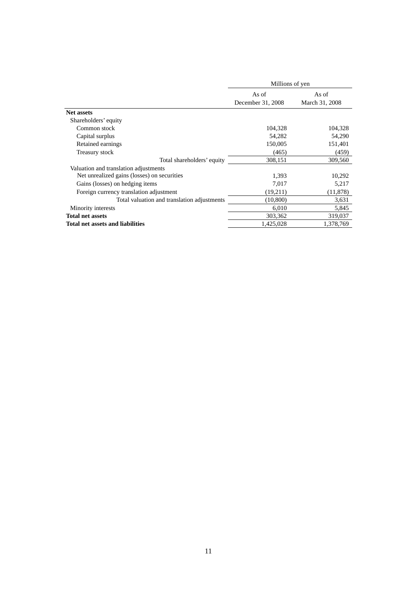|                                             | Millions of yen   |                |  |
|---------------------------------------------|-------------------|----------------|--|
|                                             | As of             | As of          |  |
|                                             | December 31, 2008 | March 31, 2008 |  |
| <b>Net assets</b>                           |                   |                |  |
| Shareholders' equity                        |                   |                |  |
| Common stock                                | 104,328           | 104,328        |  |
| Capital surplus                             | 54,282            | 54,290         |  |
| Retained earnings                           | 150,005           | 151,401        |  |
| Treasury stock                              | (465)             | (459)          |  |
| Total shareholders' equity                  | 308,151           | 309,560        |  |
| Valuation and translation adjustments       |                   |                |  |
| Net unrealized gains (losses) on securities | 1,393             | 10,292         |  |
| Gains (losses) on hedging items             | 7,017             | 5,217          |  |
| Foreign currency translation adjustment     | (19,211)          | (11, 878)      |  |
| Total valuation and translation adjustments | (10, 800)         | 3,631          |  |
| Minority interests                          | 6,010             | 5,845          |  |
| <b>Total net assets</b>                     | 303,362           | 319,037        |  |
| Total net assets and liabilities            | 1,425,028         | 1,378,769      |  |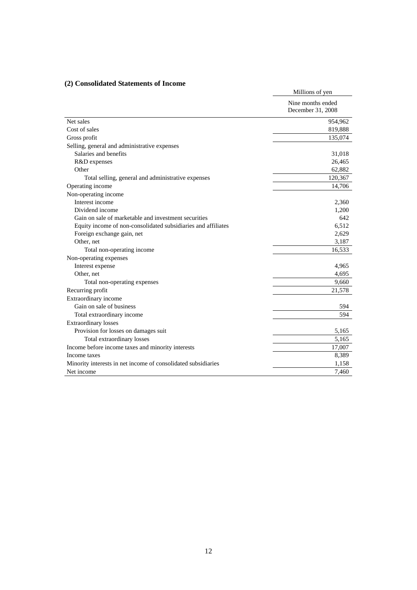# **(2) Consolidated Statements of Income**

| $(z)$ consolidated statements of income                       | Millions of yen   |
|---------------------------------------------------------------|-------------------|
|                                                               |                   |
|                                                               | Nine months ended |
|                                                               | December 31, 2008 |
| Net sales                                                     | 954,962           |
| Cost of sales                                                 | 819,888           |
| Gross profit                                                  | 135,074           |
| Selling, general and administrative expenses                  |                   |
| Salaries and benefits                                         | 31,018            |
| R&D expenses                                                  | 26,465            |
| Other                                                         | 62,882            |
| Total selling, general and administrative expenses            | 120,367           |
| Operating income                                              | 14,706            |
| Non-operating income                                          |                   |
| Interest income                                               | 2,360             |
| Dividend income                                               | 1,200             |
| Gain on sale of marketable and investment securities          | 642               |
| Equity income of non-consolidated subsidiaries and affiliates | 6,512             |
| Foreign exchange gain, net                                    | 2,629             |
| Other, net                                                    | 3,187             |
| Total non-operating income                                    | 16,533            |
| Non-operating expenses                                        |                   |
| Interest expense                                              | 4,965             |
| Other, net                                                    | 4,695             |
| Total non-operating expenses                                  | 9,660             |
| Recurring profit                                              | 21,578            |
| Extraordinary income                                          |                   |
| Gain on sale of business                                      | 594               |
| Total extraordinary income                                    | 594               |
| <b>Extraordinary losses</b>                                   |                   |
| Provision for losses on damages suit                          | 5,165             |
| Total extraordinary losses                                    | 5,165             |
| Income before income taxes and minority interests             | 17,007            |
| Income taxes                                                  | 8,389             |
| Minority interests in net income of consolidated subsidiaries | 1,158             |
| Net income                                                    | 7,460             |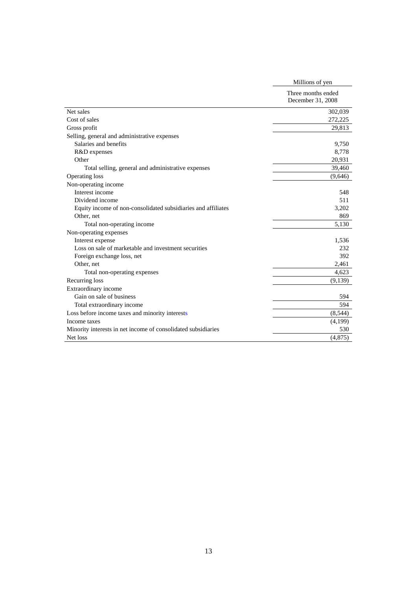|                                                               | Millions of yen                         |
|---------------------------------------------------------------|-----------------------------------------|
|                                                               | Three months ended<br>December 31, 2008 |
| Net sales                                                     | 302,039                                 |
| Cost of sales                                                 | 272,225                                 |
| Gross profit                                                  | 29,813                                  |
| Selling, general and administrative expenses                  |                                         |
| Salaries and benefits                                         | 9,750                                   |
| R&D expenses                                                  | 8,778                                   |
| Other                                                         | 20,931                                  |
| Total selling, general and administrative expenses            | 39,460                                  |
| <b>Operating loss</b>                                         | (9,646)                                 |
| Non-operating income                                          |                                         |
| Interest income                                               | 548                                     |
| Dividend income                                               | 511                                     |
| Equity income of non-consolidated subsidiaries and affiliates | 3,202                                   |
| Other, net                                                    | 869                                     |
| Total non-operating income                                    | 5,130                                   |
| Non-operating expenses                                        |                                         |
| Interest expense                                              | 1,536                                   |
| Loss on sale of marketable and investment securities          | 232                                     |
| Foreign exchange loss, net                                    | 392                                     |
| Other, net                                                    | 2,461                                   |
| Total non-operating expenses                                  | 4,623                                   |
| Recurring loss                                                | (9,139)                                 |
| Extraordinary income                                          |                                         |
| Gain on sale of business                                      | 594                                     |
| Total extraordinary income                                    | 594                                     |
| Loss before income taxes and minority interests               | (8, 544)                                |
| Income taxes                                                  | (4,199)                                 |
| Minority interests in net income of consolidated subsidiaries | 530                                     |
| Net loss                                                      | (4,875)                                 |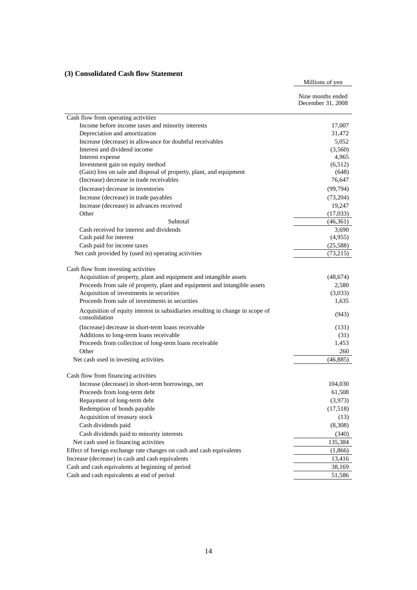# **(3) Consolidated Cash flow Statement**

Millions of yen

|                                                                                                                | Nine months ended<br>December 31, 2008 |
|----------------------------------------------------------------------------------------------------------------|----------------------------------------|
| Cash flow from operating activities                                                                            |                                        |
| Income before income taxes and minority interests                                                              | 17,007                                 |
| Depreciation and amortization                                                                                  | 31,472                                 |
| Increase (decrease) in allowance for doubtful receivables                                                      | 5,052                                  |
| Interest and dividend income                                                                                   | (3,560)                                |
| Interest expense                                                                                               | 4,965                                  |
| Investment gain on equity method                                                                               | (6,512)                                |
| (Gain) loss on sale and disposal of property, plant, and equipment<br>(Increase) decrease in trade receivables | (648)<br>76,647                        |
| (Increase) decrease in inventories                                                                             | (99, 794)                              |
|                                                                                                                |                                        |
| Increase (decrease) in trade payables<br>Increase (decrease) in advances received                              | (73,204)<br>19,247                     |
| Other                                                                                                          | (17,033)                               |
| Subtotal                                                                                                       | (46,361)                               |
| Cash received for interest and dividends                                                                       | 3,690                                  |
| Cash paid for interest                                                                                         | (4,955)                                |
| Cash paid for income taxes                                                                                     | (25,588)                               |
| Net cash provided by (used in) operating activities                                                            | (73,215)                               |
| Cash flow from investing activities                                                                            |                                        |
| Acquisition of property, plant and equipment and intangible assets                                             | (48, 674)                              |
| Proceeds from sale of property, plant and equipment and intangible assets                                      | 2,580                                  |
| Acquisition of investments in securities                                                                       | (3,033)                                |
| Proceeds from sale of investments in securities                                                                | 1,635                                  |
| Acquisition of equity interest in subsidiaries resulting in change in scope of<br>consolidation                | (943)                                  |
| (Increase) decrease in short-term loans receivable                                                             | (131)                                  |
| Additions to long-term loans receivable                                                                        | (31)                                   |
| Proceeds from collection of long-term loans receivable                                                         | 1,453                                  |
| Other                                                                                                          | 260                                    |
| Net cash used in investing activities                                                                          | (46,885)                               |
| Cash flow from financing activities                                                                            |                                        |
| Increase (decrease) in short-term borrowings, net                                                              | 104,030                                |
| Proceeds from long-term debt                                                                                   | 61,508                                 |
| Repayment of long-term debt                                                                                    | (3,973)                                |
| Redemption of bonds payable                                                                                    | (17,518)                               |
| Acquisition of treasury stock                                                                                  | (13)                                   |
| Cash dividends paid                                                                                            | (8,308)                                |
| Cash dividends paid to minority interests                                                                      | (340)                                  |
| Net cash used in financing activities                                                                          | 135,384                                |
| Effect of foreign exchange rate changes on cash and cash equivalents                                           | (1,866)                                |
| Increase (decrease) in cash and cash equivalents                                                               | 13,416                                 |
| Cash and cash equivalents at beginning of period                                                               | 38,169                                 |
| Cash and cash equivalents at end of period                                                                     | 51,586                                 |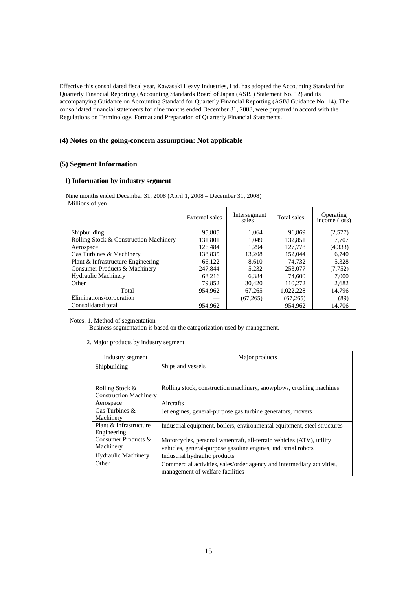Effective this consolidated fiscal year, Kawasaki Heavy Industries, Ltd. has adopted the Accounting Standard for Quarterly Financial Reporting (Accounting Standards Board of Japan (ASBJ) Statement No. 12) and its accompanying Guidance on Accounting Standard for Quarterly Financial Reporting (ASBJ Guidance No. 14). The consolidated financial statements for nine months ended December 31, 2008, were prepared in accord with the Regulations on Terminology, Format and Preparation of Quarterly Financial Statements.

## **(4) Notes on the going-concern assumption: Not applicable**

# **(5) Segment Information**

#### **1) Information by industry segment**

Nine months ended December 31, 2008 (April 1, 2008 – December 31, 2008) Millions of yen

|                                        | External sales | Intersegment<br>sales | Total sales | Operating<br>income (loss) |
|----------------------------------------|----------------|-----------------------|-------------|----------------------------|
| Shipbuilding                           | 95,805         | 1.064                 | 96,869      | (2,577)                    |
| Rolling Stock & Construction Machinery | 131.801        | 1.049                 | 132.851     | 7.707                      |
| Aerospace                              | 126,484        | 1.294                 | 127,778     | (4,333)                    |
| Gas Turbines & Machinery               | 138.835        | 13.208                | 152,044     | 6,740                      |
| Plant & Infrastructure Engineering     | 66,122         | 8.610                 | 74.732      | 5,328                      |
| Consumer Products & Machinery          | 247,844        | 5.232                 | 253,077     | (7, 752)                   |
| <b>Hydraulic Machinery</b>             | 68,216         | 6.384                 | 74,600      | 7,000                      |
| Other                                  | 79,852         | 30.420                | 110.272     | 2,682                      |
| Total                                  | 954.962        | 67,265                | 1,022,228   | 14.796                     |
| Eliminations/corporation               |                | (67,265)              | (67, 265)   | (89)                       |
| Consolidated total                     | 954.962        |                       | 954,962     | 14.706                     |

Notes: 1. Method of segmentation

Business segmentation is based on the categorization used by management.

2. Major products by industry segment

| Industry segment              | Major products                                                           |
|-------------------------------|--------------------------------------------------------------------------|
| Shipbuilding                  | Ships and vessels                                                        |
|                               |                                                                          |
| Rolling Stock &               | Rolling stock, construction machinery, snowplows, crushing machines      |
| <b>Construction Machinery</b> |                                                                          |
| Aerospace                     | Aircrafts                                                                |
| Gas Turbines &                | Jet engines, general-purpose gas turbine generators, movers              |
| Machinery                     |                                                                          |
| Plant & Infrastructure        | Industrial equipment, boilers, environmental equipment, steel structures |
| Engineering                   |                                                                          |
| Consumer Products &           | Motorcycles, personal watercraft, all-terrain vehicles (ATV), utility    |
| Machinery                     | vehicles, general-purpose gasoline engines, industrial robots            |
| <b>Hydraulic Machinery</b>    | Industrial hydraulic products                                            |
| Other                         | Commercial activities, sales/order agency and intermediary activities,   |
|                               | management of welfare facilities                                         |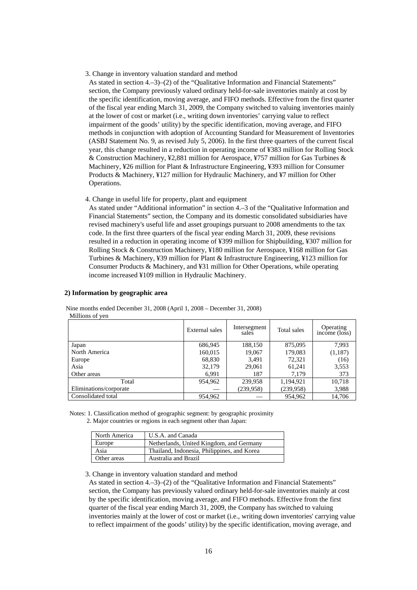3. Change in inventory valuation standard and method

As stated in section 4.–3)–(2) of the "Qualitative Information and Financial Statements" section, the Company previously valued ordinary held-for-sale inventories mainly at cost by the specific identification, moving average, and FIFO methods. Effective from the first quarter of the fiscal year ending March 31, 2009, the Company switched to valuing inventories mainly at the lower of cost or market (i.e., writing down inventories' carrying value to reflect impairment of the goods' utility) by the specific identification, moving average, and FIFO methods in conjunction with adoption of Accounting Standard for Measurement of Inventories (ASBJ Statement No. 9, as revised July 5, 2006). In the first three quarters of the current fiscal year, this change resulted in a reduction in operating income of ¥383 million for Rolling Stock & Construction Machinery, ¥2,881 million for Aerospace, ¥757 million for Gas Turbines & Machinery, ¥26 million for Plant & Infrastructure Engineering, ¥393 million for Consumer Products & Machinery, ¥127 million for Hydraulic Machinery, and ¥7 million for Other Operations.

4. Change in useful life for property, plant and equipment

As stated under "Additional information" in section 4.–3 of the "Qualitative Information and Financial Statements" section, the Company and its domestic consolidated subsidiaries have revised machinery's useful life and asset groupings pursuant to 2008 amendments to the tax code. In the first three quarters of the fiscal year ending March 31, 2009, these revisions resulted in a reduction in operating income of ¥399 million for Shipbuilding, ¥307 million for Rolling Stock & Construction Machinery, ¥180 million for Aerospace, ¥168 million for Gas Turbines & Machinery, ¥39 million for Plant & Infrastructure Engineering, ¥123 million for Consumer Products & Machinery, and ¥31 million for Other Operations, while operating income increased ¥109 million in Hydraulic Machinery.

#### **2) Information by geographic area**

|                        | External sales | Intersegment<br>sales | Total sales | Operating<br>income (loss) |
|------------------------|----------------|-----------------------|-------------|----------------------------|
| Japan                  | 686,945        | 188,150               | 875,095     | 7,993                      |
| North America          | 160,015        | 19,067                | 179,083     | (1,187)                    |
| Europe                 | 68,830         | 3,491                 | 72,321      | (16)                       |
| Asia                   | 32,179         | 29,061                | 61,241      | 3,553                      |
| Other areas            | 6,991          | 187                   | 7.179       | 373                        |
| Total                  | 954,962        | 239,958               | 1,194,921   | 10,718                     |
| Eliminations/corporate |                | (239, 958)            | (239,958)   | 3,988                      |
| Consolidated total     | 954,962        |                       | 954,962     | 14.706                     |

Nine months ended December 31, 2008 (April 1, 2008 – December 31, 2008) Millions of yen

Notes: 1. Classification method of geographic segment: by geographic proximity

2. Major countries or regions in each segment other than Japan:

| North America | U.S.A. and Canada                           |
|---------------|---------------------------------------------|
| Europe        | Netherlands, United Kingdom, and Germany    |
| Asia          | Thailand, Indonesia, Philippines, and Korea |
| Other areas   | Australia and Brazil                        |

3. Change in inventory valuation standard and method

As stated in section 4.–3)–(2) of the "Qualitative Information and Financial Statements" section, the Company has previously valued ordinary held-for-sale inventories mainly at cost by the specific identification, moving average, and FIFO methods. Effective from the first quarter of the fiscal year ending March 31, 2009, the Company has switched to valuing inventories mainly at the lower of cost or market (i.e., writing down inventories' carrying value to reflect impairment of the goods' utility) by the specific identification, moving average, and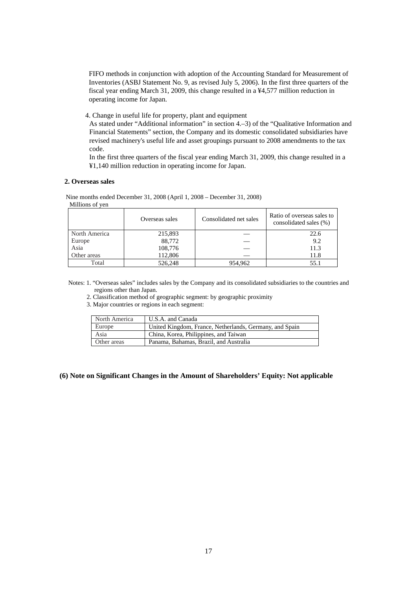FIFO methods in conjunction with adoption of the Accounting Standard for Measurement of Inventories (ASBJ Statement No. 9, as revised July 5, 2006). In the first three quarters of the fiscal year ending March 31, 2009, this change resulted in a ¥4,577 million reduction in operating income for Japan.

4. Change in useful life for property, plant and equipment

As stated under "Additional information" in section 4.–3) of the "Qualitative Information and Financial Statements" section, the Company and its domestic consolidated subsidiaries have revised machinery's useful life and asset groupings pursuant to 2008 amendments to the tax code.

In the first three quarters of the fiscal year ending March 31, 2009, this change resulted in a ¥1,140 million reduction in operating income for Japan.

#### **2. Overseas sales**

Nine months ended December 31, 2008 (April 1, 2008 – December 31, 2008) Millions of yen

|               | Overseas sales | Consolidated net sales | Ratio of overseas sales to<br>consolidated sales (%) |
|---------------|----------------|------------------------|------------------------------------------------------|
| North America | 215,893        |                        | 22.6                                                 |
| Europe        | 88,772         |                        | 9.2                                                  |
| Asia          | 108,776        |                        | 11.3                                                 |
| Other areas   | 112,806        |                        | 11.8                                                 |
| Total         | 526,248        | 954.962                | 55.1                                                 |

Notes: 1. "Overseas sales" includes sales by the Company and its consolidated subsidiaries to the countries and regions other than Japan.

2. Classification method of geographic segment: by geographic proximity

3. Major countries or regions in each segment:

| North America | U.S.A. and Canada                                       |
|---------------|---------------------------------------------------------|
| Europe        | United Kingdom, France, Netherlands, Germany, and Spain |
| Asia          | China, Korea, Philippines, and Taiwan                   |
| Other areas   | Panama, Bahamas, Brazil, and Australia                  |

#### **(6) Note on Significant Changes in the Amount of Shareholders' Equity: Not applicable**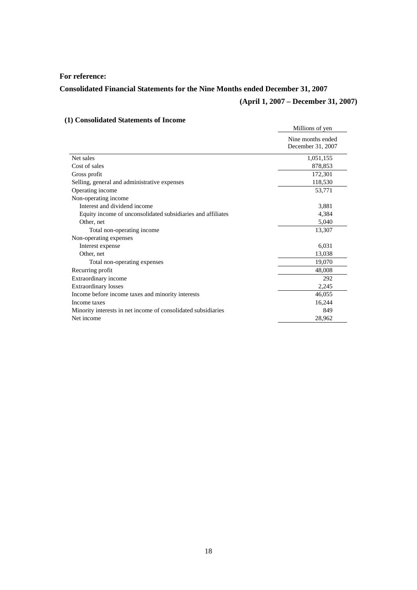# **For reference:**

# **Consolidated Financial Statements for the Nine Months ended December 31, 2007**

# **(April 1, 2007 – December 31, 2007)**

# **(1) Consolidated Statements of Income**

|                                                               | Millions of yen                        |
|---------------------------------------------------------------|----------------------------------------|
|                                                               | Nine months ended<br>December 31, 2007 |
| Net sales                                                     | 1,051,155                              |
| Cost of sales                                                 | 878,853                                |
| Gross profit                                                  | 172,301                                |
| Selling, general and administrative expenses                  | 118,530                                |
| Operating income                                              | 53,771                                 |
| Non-operating income                                          |                                        |
| Interest and dividend income                                  | 3,881                                  |
| Equity income of unconsolidated subsidiaries and affiliates   | 4,384                                  |
| Other, net                                                    | 5,040                                  |
| Total non-operating income                                    | 13,307                                 |
| Non-operating expenses                                        |                                        |
| Interest expense                                              | 6,031                                  |
| Other, net                                                    | 13,038                                 |
| Total non-operating expenses                                  | 19,070                                 |
| Recurring profit                                              | 48,008                                 |
| Extraordinary income                                          | 292                                    |
| <b>Extraordinary losses</b>                                   | 2,245                                  |
| Income before income taxes and minority interests             | 46.055                                 |
| Income taxes                                                  | 16,244                                 |
| Minority interests in net income of consolidated subsidiaries | 849                                    |
| Net income                                                    | 28,962                                 |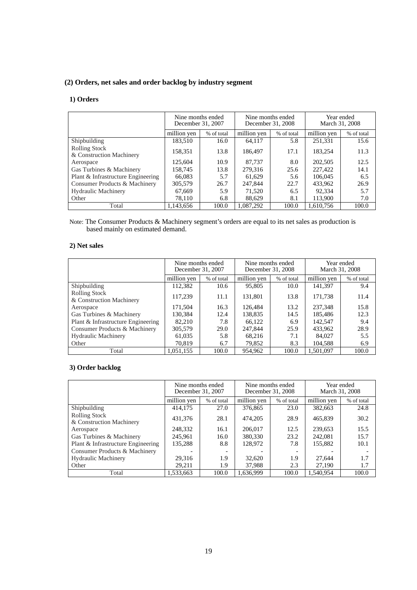# **(2) Orders, net sales and order backlog by industry segment**

## **1) Orders**

|                                                  | Nine months ended<br>December 31, 2007 |            | Nine months ended<br>December 31, 2008 |            | Year ended<br>March 31, 2008 |            |
|--------------------------------------------------|----------------------------------------|------------|----------------------------------------|------------|------------------------------|------------|
|                                                  | million yen                            | % of total | million yen                            | % of total | million yen                  | % of total |
| Shipbuilding                                     | 183,510                                | 16.0       | 64.117                                 | 5.8        | 251,331                      | 15.6       |
| <b>Rolling Stock</b><br>& Construction Machinery | 158,351                                | 13.8       | 186,497                                | 17.1       | 183.254                      | 11.3       |
| Aerospace                                        | 125,604                                | 10.9       | 87.737                                 | 8.0        | 202,505                      | 12.5       |
| Gas Turbines & Machinery                         | 158.745                                | 13.8       | 279.316                                | 25.6       | 227,422                      | 14.1       |
| Plant & Infrastructure Engineering               | 66,083                                 | 5.7        | 61.629                                 | 5.6        | 106,045                      | 6.5        |
| Consumer Products & Machinery                    | 305,579                                | 26.7       | 247,844                                | 22.7       | 433.962                      | 26.9       |
| <b>Hydraulic Machinery</b>                       | 67,669                                 | 5.9        | 71,520                                 | 6.5        | 92.334                       | 5.7        |
| Other                                            | 78.110                                 | 6.8        | 88,629                                 | 8.1        | 113,900                      | 7.0        |
| Total                                            | 1,143,656                              | 100.0      | 1,087,292                              | 100.0      | 1.610.756                    | 100.0      |

Note: The Consumer Products & Machinery segment's orders are equal to its net sales as production is based mainly on estimated demand.

## **2) Net sales**

|                                           | Nine months ended<br>December 31, 2007 |            | Nine months ended<br>December 31, 2008 |       | Year ended<br>March 31, 2008 |            |
|-------------------------------------------|----------------------------------------|------------|----------------------------------------|-------|------------------------------|------------|
|                                           | million yen                            | % of total | million yen<br>% of total              |       | million yen                  | % of total |
| Shipbuilding                              | 112,382                                | 10.6       | 95,805                                 | 10.0  | 141,397                      | 9.4        |
| Rolling Stock<br>& Construction Machinery | 117,239                                | 11.1       | 131,801                                | 13.8  | 171,738                      | 11.4       |
| Aerospace                                 | 171.504                                | 16.3       | 126.484                                | 13.2  | 237,348                      | 15.8       |
| Gas Turbines & Machinery                  | 130,384                                | 12.4       | 138,835                                | 14.5  | 185,486                      | 12.3       |
| Plant & Infrastructure Engineering        | 82,210                                 | 7.8        | 66,122                                 | 6.9   | 142,547                      | 9.4        |
| Consumer Products & Machinery             | 305,579                                | 29.0       | 247,844                                | 25.9  | 433,962                      | 28.9       |
| <b>Hydraulic Machinery</b>                | 61,035                                 | 5.8        | 68,216                                 | 7.1   | 84,027                       | 5.5        |
| Other                                     | 70,819                                 | 6.7        | 79,852                                 | 8.3   | 104,588                      | 6.9        |
| Total                                     | 1.051.155                              | 100.0      | 954.962                                | 100.0 | 1.501.097                    | 100.0      |

# **3) Order backlog**

|                                                  | Nine months ended<br>December 31, 2007 |                          | Nine months ended         | December 31, 2008 | Year ended<br>March 31, 2008 |            |
|--------------------------------------------------|----------------------------------------|--------------------------|---------------------------|-------------------|------------------------------|------------|
|                                                  | million ven                            | % of total               | million yen<br>% of total |                   | million ven                  | % of total |
| Shipbuilding                                     | 414,175                                | 27.0                     | 376,865                   | 23.0              | 382,663                      | 24.8       |
| <b>Rolling Stock</b><br>& Construction Machinery | 431,376                                | 28.1                     | 474,205                   | 28.9              | 465,839                      | 30.2       |
| Aerospace                                        | 248,332                                | 16.1                     | 206,017                   | 12.5              | 239.653                      | 15.5       |
| Gas Turbines & Machinery                         | 245,961                                | 16.0                     | 380,330                   | 23.2              | 242,081                      | 15.7       |
| Plant & Infrastructure Engineering               | 135,288                                | 8.8                      | 128,972                   | 7.8               | 155,882                      | 10.1       |
| Consumer Products & Machinery                    |                                        | $\overline{\phantom{a}}$ |                           |                   |                              |            |
| <b>Hydraulic Machinery</b>                       | 29,316                                 | 1.9                      | 32,620                    | 1.9               | 27.644                       | 1.7        |
| Other                                            | 29,211                                 | 1.9                      | 37,988                    | 2.3               | 27,190                       | 1.7        |
| Total                                            | 1.533.663                              | 100.0                    | 1.636.999                 | 100.0             | 1.540.954                    | 100.0      |